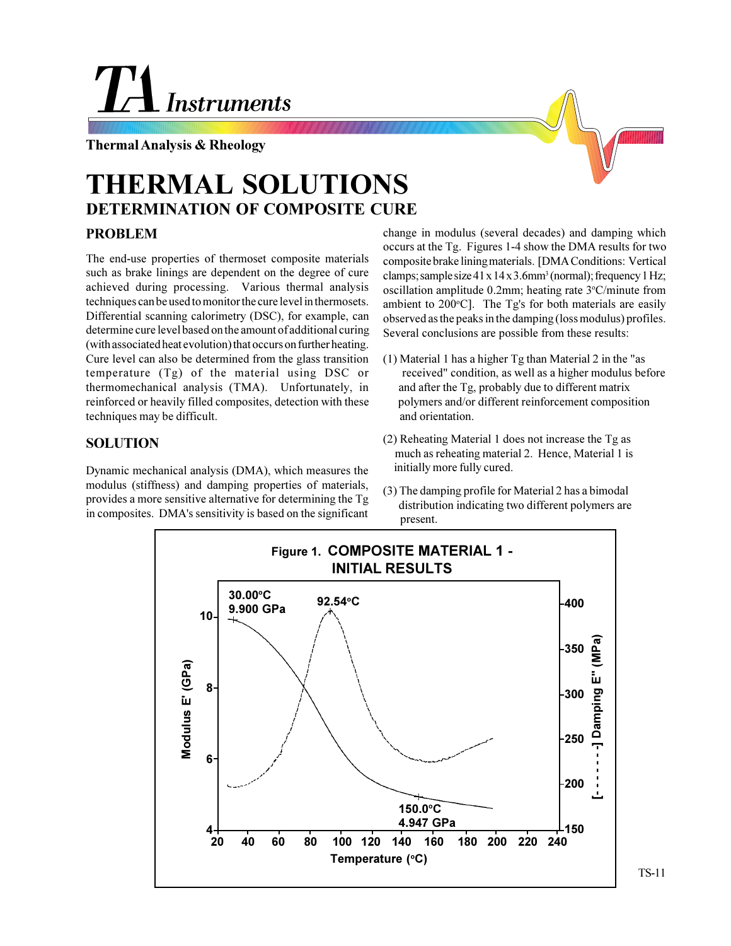## **Instruments**

**Thermal Analysis & Rheology**

## **DETERMINATION OF COMPOSITE CURE THERMAL SOLUTIONS**

## **PROBLEM**

The end-use properties of thermoset composite materials such as brake linings are dependent on the degree of cure achieved during processing. Various thermal analysis techniques can be used to monitor the cure level in thermosets. Differential scanning calorimetry (DSC), for example, can determine cure level based on the amount of additional curing (with associated heat evolution) that occurs on further heating. Cure level can also be determined from the glass transition temperature (Tg) of the material using DSC or thermomechanical analysis (TMA). Unfortunately, in reinforced or heavily filled composites, detection with these techniques may be difficult.

## **SOLUTION**

Dynamic mechanical analysis (DMA), which measures the modulus (stiffness) and damping properties of materials, provides a more sensitive alternative for determining the Tg in composites. DMA's sensitivity is based on the significant

change in modulus (several decades) and damping which occurs at the Tg. Figures 1-4 show the DMA results for two composite brake lining materials. [DMA Conditions: Vertical  $clamps$ ; sample size  $41 \times 14 \times 3.6$ mm<sup>3</sup> (normal); frequency 1 Hz; oscillation amplitude 0.2mm; heating rate 3°C/minute from ambient to 200°C]. The Tg's for both materials are easily observed as the peaks in the damping (loss modulus) profiles. Several conclusions are possible from these results:

- (1) Material 1 has a higher Tg than Material 2 in the "as received" condition, as well as a higher modulus before and after the Tg, probably due to different matrix polymers and/or different reinforcement composition and orientation.
- (2) Reheating Material 1 does not increase the Tg as much as reheating material 2. Hence, Material 1 is initially more fully cured.
- (3) The damping profile for Material 2 has a bimodal distribution indicating two different polymers are present.